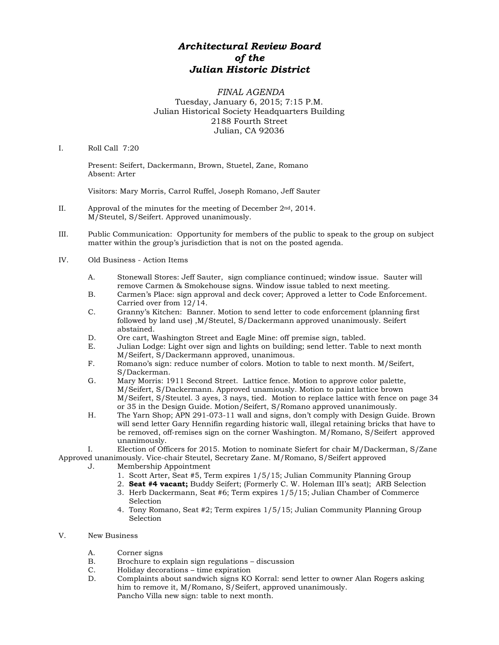## *Architectural Review Board of the Julian Historic District*

## *FINAL AGENDA* Tuesday, January 6, 2015; 7:15 P.M. Julian Historical Society Headquarters Building 2188 Fourth Street Julian, CA 92036

## I. Roll Call 7:20

Present: Seifert, Dackermann, Brown, Stuetel, Zane, Romano Absent: Arter

Visitors: Mary Morris, Carrol Ruffel, Joseph Romano, Jeff Sauter

- II. Approval of the minutes for the meeting of December 2nd, 2014. M/Steutel, S/Seifert. Approved unanimously.
- III. Public Communication: Opportunity for members of the public to speak to the group on subject matter within the group's jurisdiction that is not on the posted agenda.
- IV. Old Business Action Items
	- A. Stonewall Stores: Jeff Sauter, sign compliance continued; window issue. Sauter will remove Carmen & Smokehouse signs. Window issue tabled to next meeting.
	- B. Carmen's Place: sign approval and deck cover; Approved a letter to Code Enforcement. Carried over from 12/14.
	- C. Granny's Kitchen: Banner. Motion to send letter to code enforcement (planning first followed by land use) ,M/Steutel, S/Dackermann approved unanimously. Seifert abstained.
	- D. Ore cart, Washington Street and Eagle Mine: off premise sign, tabled.
	- E. Julian Lodge: Light over sign and lights on building; send letter. Table to next month M/Seifert, S/Dackermann approved, unanimous.
	- F. Romano's sign: reduce number of colors. Motion to table to next month. M/Seifert, S/Dackerman.
	- G. Mary Morris: 1911 Second Street. Lattice fence. Motion to approve color palette, M/Seifert, S/Dackermann. Approved unamiously. Motion to paint lattice brown M/Seifert, S/Steutel. 3 ayes, 3 nays, tied. Motion to replace lattice with fence on page 34 or 35 in the Design Guide. Motion/Seifert, S/Romano approved unanimously.
	- H. The Yarn Shop; APN 291-073-11 wall and signs, don't comply with Design Guide. Brown will send letter Gary Hennifin regarding historic wall, illegal retaining bricks that have to be removed, off-remises sign on the corner Washington. M/Romano, S/Seifert approved unanimously.
	- I. Election of Officers for 2015. Motion to nominate Siefert for chair M/Dackerman, S/Zane

Approved unanimously. Vice-chair Steutel, Secretary Zane. M/Romano, S/Seifert approved J. Membership Appointment

- 1. Scott Arter, Seat #5, Term expires 1/5/15; Julian Community Planning Group
- 2. **Seat #4 vacant;** Buddy Seifert; (Formerly C. W. Holeman III's seat); ARB Selection
- 3. Herb Dackermann, Seat #6; Term expires 1/5/15; Julian Chamber of Commerce Selection
- 4. Tony Romano, Seat #2; Term expires 1/5/15; Julian Community Planning Group Selection
- V. New Business
	- A. Corner signs<br>B. Brochure to e
	- B. Brochure to explain sign regulations discussion<br>C. Holiday decorations time expiration
	- C. Holiday decorations time expiration<br>D. Complaints about sandwich signs KO
	- D. Complaints about sandwich signs KO Korral: send letter to owner Alan Rogers asking him to remove it, M/Romano, S/Seifert, approved unanimously. Pancho Villa new sign: table to next month.